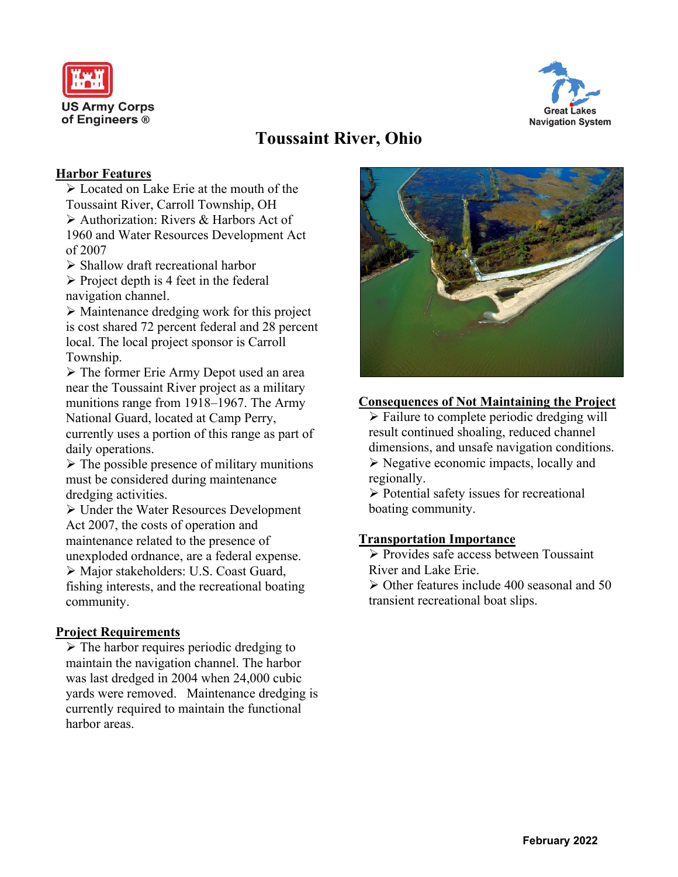



# **Toussaint River, Ohio**

### **Harbor Features**

➢ Located on Lake Erie at the mouth of the Toussaint River, Carroll Township, OH ➢ Authorization: Rivers & Harbors Act of 1960 and Water Resources Development Act of 2007

➢ Shallow draft recreational harbor

 $\triangleright$  Project depth is 4 feet in the federal navigation channel.

➢ Maintenance dredging work for this project is cost shared 72 percent federal and 28 percent local. The local project sponsor is Carroll Township.

➢ The former Erie Army Depot used an area near the Toussaint River project as a military munitions range from 1918–1967. The Army National Guard, located at Camp Perry, currently uses a portion of this range as part of daily operations.

 $\triangleright$  The possible presence of military munitions must be considered during maintenance dredging activities.

➢ Under the Water Resources Development Act 2007, the costs of operation and maintenance related to the presence of unexploded ordnance, are a federal expense. ➢ Major stakeholders: U.S. Coast Guard, fishing interests, and the recreational boating community.

#### **Project Requirements**

 $\triangleright$  The harbor requires periodic dredging to maintain the navigation channel. The harbor was last dredged in 2004 when 24,000 cubic yards were removed. Maintenance dredging is currently required to maintain the functional harbor areas.



## **Consequences of Not Maintaining the Project**

 $\triangleright$  Failure to complete periodic dredging will result continued shoaling, reduced channel dimensions, and unsafe navigation conditions.

➢ Negative economic impacts, locally and regionally.

➢ Potential safety issues for recreational boating community.

#### **Transportation Importance**

➢ Provides safe access between Toussaint River and Lake Erie.

➢ Other features include 400 seasonal and 50 transient recreational boat slips.